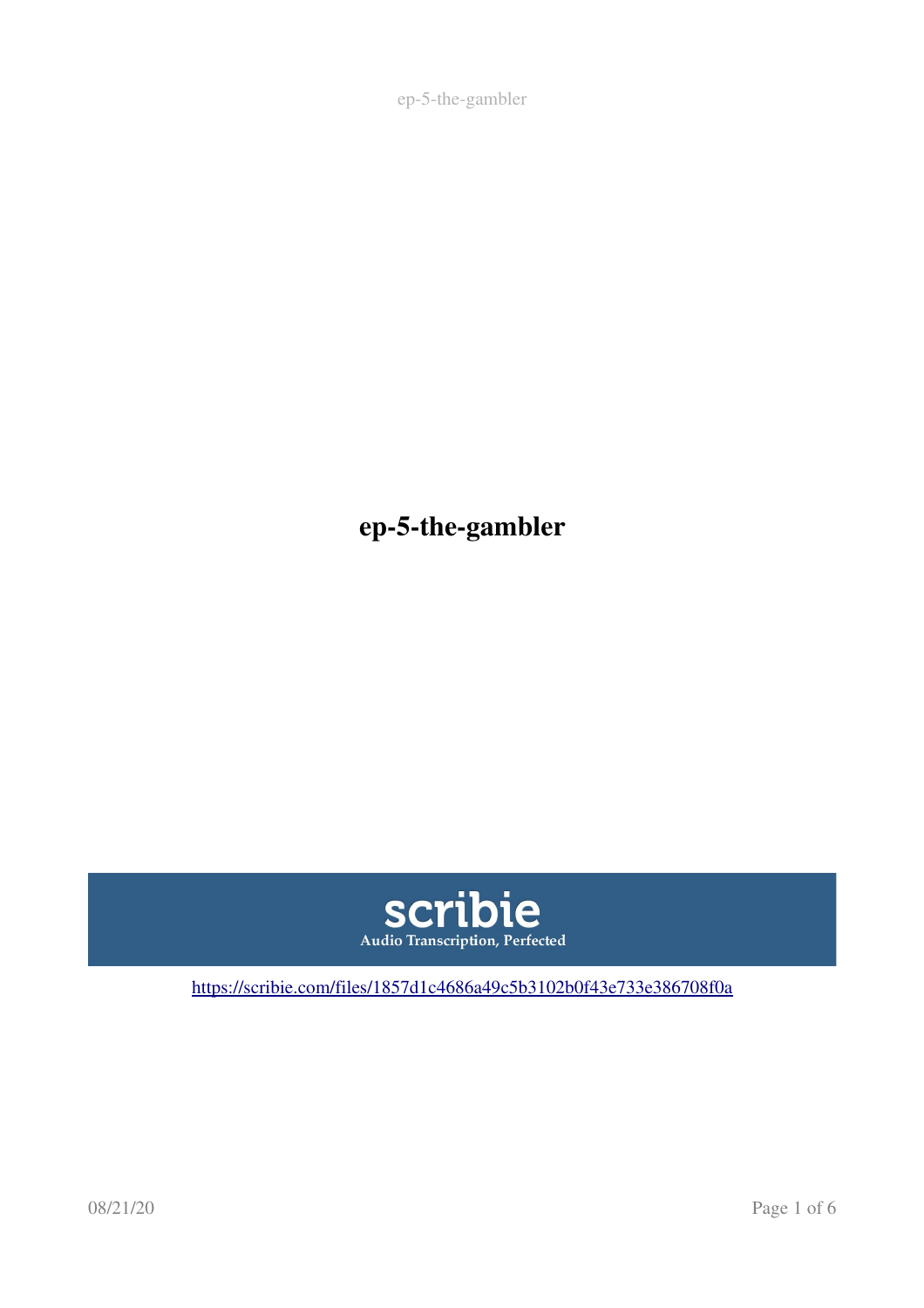ep-5-the-gambler

ep-5-the-gambler



[https://scribie.com/files/1857d1c4686a49c5b3102b0f43e733e386708f0a](https://scribie.com/files/%7BFID%7D)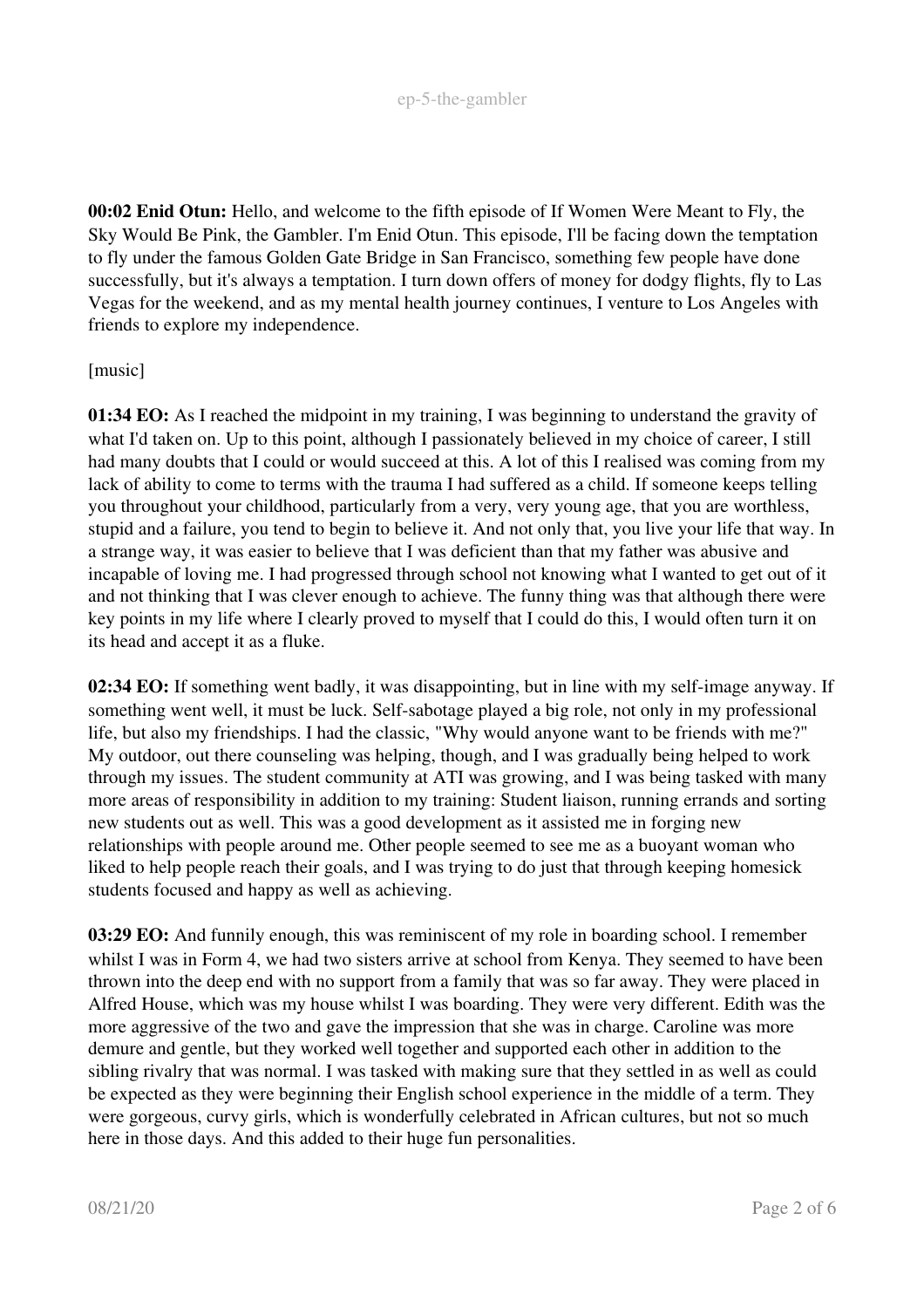00:02 Enid Otun: Hello, and welcome to the fifth episode of If Women Were Meant to Fly, the Sky Would Be Pink, the Gambler. I'm Enid Otun. This episode, I'll be facing down the temptation to fly under the famous Golden Gate Bridge in San Francisco, something few people have done successfully, but it's always a temptation. I turn down offers of money for dodgy flights, fly to Las Vegas for the weekend, and as my mental health journey continues, I venture to Los Angeles with friends to explore my independence.

## [music]

01:34 EO: As I reached the midpoint in my training, I was beginning to understand the gravity of what I'd taken on. Up to this point, although I passionately believed in my choice of career. I still had many doubts that I could or would succeed at this. A lot of this I realised was coming from my lack of ability to come to terms with the trauma I had suffered as a child. If someone keeps telling you throughout your childhood, particularly from a very, very young age, that you are worthless, stupid and a failure, you tend to begin to believe it. And not only that, you live your life that way. In a strange way, it was easier to believe that I was deficient than that my father was abusive and incapable of loving me. I had progressed through school not knowing what I wanted to get out of it and not thinking that I was clever enough to achieve. The funny thing was that although there were key points in my life where I clearly proved to myself that I could do this, I would often turn it on its head and accept it as a fluke.

02:34 EO: If something went badly, it was disappointing, but in line with my self-image anyway. If something went well, it must be luck. Self-sabotage played a big role, not only in my professional life, but also my friendships. I had the classic, "Why would anyone want to be friends with me?" My outdoor, out there counseling was helping, though, and I was gradually being helped to work through my issues. The student community at ATI was growing, and I was being tasked with many more areas of responsibility in addition to my training: Student liaison, running errands and sorting new students out as well. This was a good development as it assisted me in forging new relationships with people around me. Other people seemed to see me as a buoyant woman who liked to help people reach their goals, and I was trying to do just that through keeping homesick students focused and happy as well as achieving.

03:29 EO: And funnily enough, this was reminiscent of my role in boarding school. I remember whilst I was in Form 4, we had two sisters arrive at school from Kenya. They seemed to have been thrown into the deep end with no support from a family that was so far away. They were placed in Alfred House, which was my house whilst I was boarding. They were very different. Edith was the more aggressive of the two and gave the impression that she was in charge. Caroline was more demure and gentle, but they worked well together and supported each other in addition to the sibling rivalry that was normal. I was tasked with making sure that they settled in as well as could be expected as they were beginning their English school experience in the middle of a term. They were gorgeous, curvy girls, which is wonderfully celebrated in African cultures, but not so much here in those days. And this added to their huge fun personalities.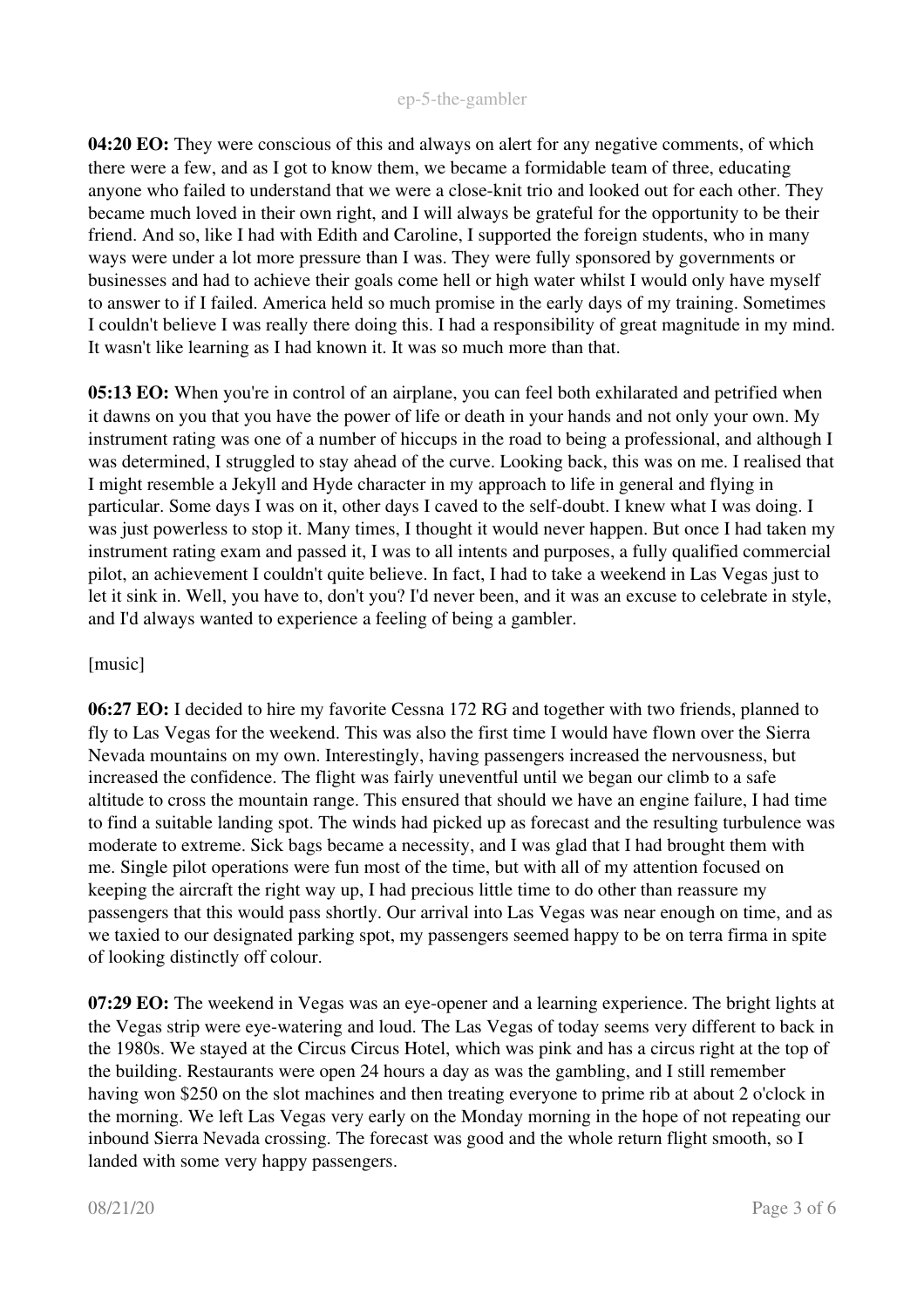## ep-5-the-gambler

04:20 EO: They were conscious of this and always on alert for any negative comments, of which there were a few, and as I got to know them, we became a formidable team of three, educating anyone who failed to understand that we were a close-knit trio and looked out for each other. They became much loved in their own right, and I will always be grateful for the opportunity to be their friend. And so, like I had with Edith and Caroline, I supported the foreign students, who in many ways were under a lot more pressure than I was. They were fully sponsored by governments or businesses and had to achieve their goals come hell or high water whilst I would only have myself to answer to if I failed. America held so much promise in the early days of my training. Sometimes I couldn't believe I was really there doing this. I had a responsibility of great magnitude in my mind. It wasn't like learning as I had known it. It was so much more than that.

05:13 EO: When you're in control of an airplane, you can feel both exhilarated and petrified when it dawns on you that you have the power of life or death in your hands and not only your own. My instrument rating was one of a number of hiccups in the road to being a professional, and although I was determined, I struggled to stay ahead of the curve. Looking back, this was on me. I realised that I might resemble a Jekyll and Hyde character in my approach to life in general and flying in particular. Some days I was on it, other days I caved to the self-doubt. I knew what I was doing. I was just powerless to stop it. Many times, I thought it would never happen. But once I had taken my instrument rating exam and passed it, I was to all intents and purposes, a fully qualified commercial pilot, an achievement I couldn't quite believe. In fact, I had to take a weekend in Las Vegas just to let it sink in. Well, you have to, don't you? I'd never been, and it was an excuse to celebrate in style, and I'd always wanted to experience a feeling of being a gambler.

## [music]

06:27 EO: I decided to hire my favorite Cessna 172 RG and together with two friends, planned to fly to Las Vegas for the weekend. This was also the first time I would have flown over the Sierra Nevada mountains on my own. Interestingly, having passengers increased the nervousness, but increased the confidence. The flight was fairly uneventful until we began our climb to a safe altitude to cross the mountain range. This ensured that should we have an engine failure, I had time to find a suitable landing spot. The winds had picked up as forecast and the resulting turbulence was moderate to extreme. Sick bags became a necessity, and I was glad that I had brought them with me. Single pilot operations were fun most of the time, but with all of my attention focused on keeping the aircraft the right way up, I had precious little time to do other than reassure my passengers that this would pass shortly. Our arrival into Las Vegas was near enough on time, and as we taxied to our designated parking spot, my passengers seemed happy to be on terra firma in spite of looking distinctly off colour.

07:29 EO: The weekend in Vegas was an eye-opener and a learning experience. The bright lights at the Vegas strip were eye-watering and loud. The Las Vegas of today seems very different to back in the 1980s. We stayed at the Circus Circus Hotel, which was pink and has a circus right at the top of the building. Restaurants were open 24 hours a day as was the gambling, and I still remember having won \$250 on the slot machines and then treating everyone to prime rib at about 2 o'clock in the morning. We left Las Vegas very early on the Monday morning in the hope of not repeating our inbound Sierra Nevada crossing. The forecast was good and the whole return flight smooth, so I landed with some very happy passengers.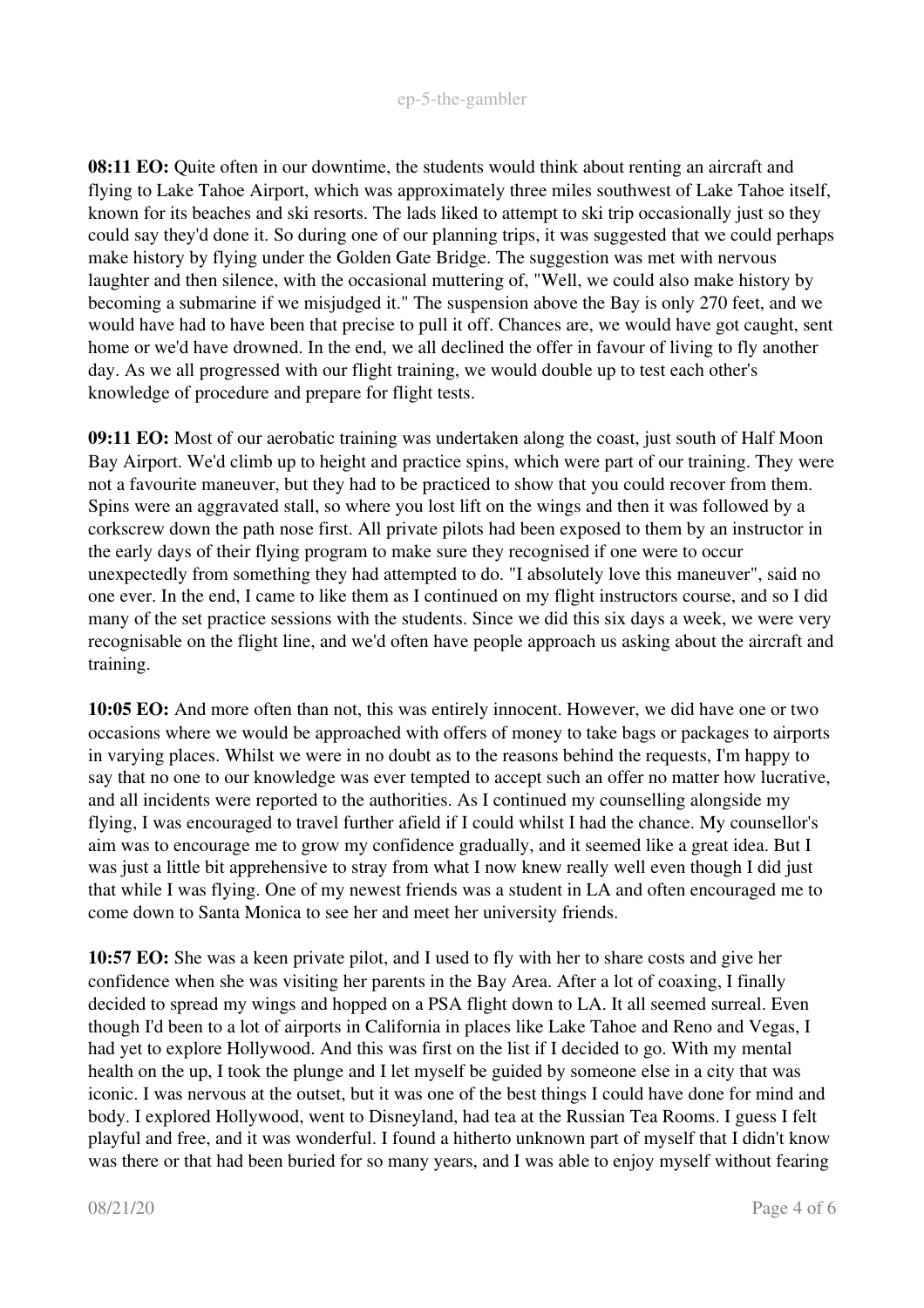08:11 EO: Quite often in our downtime, the students would think about renting an aircraft and flying to Lake Tahoe Airport, which was approximately three miles southwest of Lake Tahoe itself, known for its beaches and ski resorts. The lads liked to attempt to ski trip occasionally just so they could say they'd done it. So during one of our planning trips, it was suggested that we could perhaps make history by flying under the Golden Gate Bridge. The suggestion was met with nervous laughter and then silence, with the occasional muttering of, "Well, we could also make history by becoming a submarine if we misjudged it." The suspension above the Bay is only 270 feet, and we would have had to have been that precise to pull it off. Chances are, we would have got caught, sent home or we'd have drowned. In the end, we all declined the offer in favour of living to fly another day. As we all progressed with our flight training, we would double up to test each other's knowledge of procedure and prepare for flight tests.

09:11 EO: Most of our aerobatic training was undertaken along the coast, just south of Half Moon Bay Airport. We'd climb up to height and practice spins, which were part of our training. They were not a favourite maneuver, but they had to be practiced to show that you could recover from them. Spins were an aggravated stall, so where you lost lift on the wings and then it was followed by a corkscrew down the path nose first. All private pilots had been exposed to them by an instructor in the early days of their flying program to make sure they recognised if one were to occur unexpectedly from something they had attempted to do. "I absolutely love this maneuver", said no one ever. In the end, I came to like them as I continued on my flight instructors course, and so I did many of the set practice sessions with the students. Since we did this six days a week, we were very recognisable on the flight line, and we'd often have people approach us asking about the aircraft and training.

10:05 EO: And more often than not, this was entirely innocent. However, we did have one or two occasions where we would be approached with offers of money to take bags or packages to airports in varying places. Whilst we were in no doubt as to the reasons behind the requests, I'm happy to say that no one to our knowledge was ever tempted to accept such an offer no matter how lucrative, and all incidents were reported to the authorities. As I continued my counselling alongside my flying, I was encouraged to travel further afield if I could whilst I had the chance. My counsellor's aim was to encourage me to grow my confidence gradually, and it seemed like a great idea. But I was just a little bit apprehensive to stray from what I now knew really well even though I did just that while I was flying. One of my newest friends was a student in LA and often encouraged me to come down to Santa Monica to see her and meet her university friends.

10:57 EO: She was a keen private pilot, and I used to fly with her to share costs and give her confidence when she was visiting her parents in the Bay Area. After a lot of coaxing, I finally decided to spread my wings and hopped on a PSA flight down to LA. It all seemed surreal. Even though I'd been to a lot of airports in California in places like Lake Tahoe and Reno and Vegas, I had yet to explore Hollywood. And this was first on the list if I decided to go. With my mental health on the up, I took the plunge and I let myself be guided by someone else in a city that was iconic. I was nervous at the outset, but it was one of the best things I could have done for mind and body. I explored Hollywood, went to Disneyland, had tea at the Russian Tea Rooms. I guess I felt playful and free, and it was wonderful. I found a hitherto unknown part of myself that I didn't know was there or that had been buried for so many years, and I was able to enjoy myself without fearing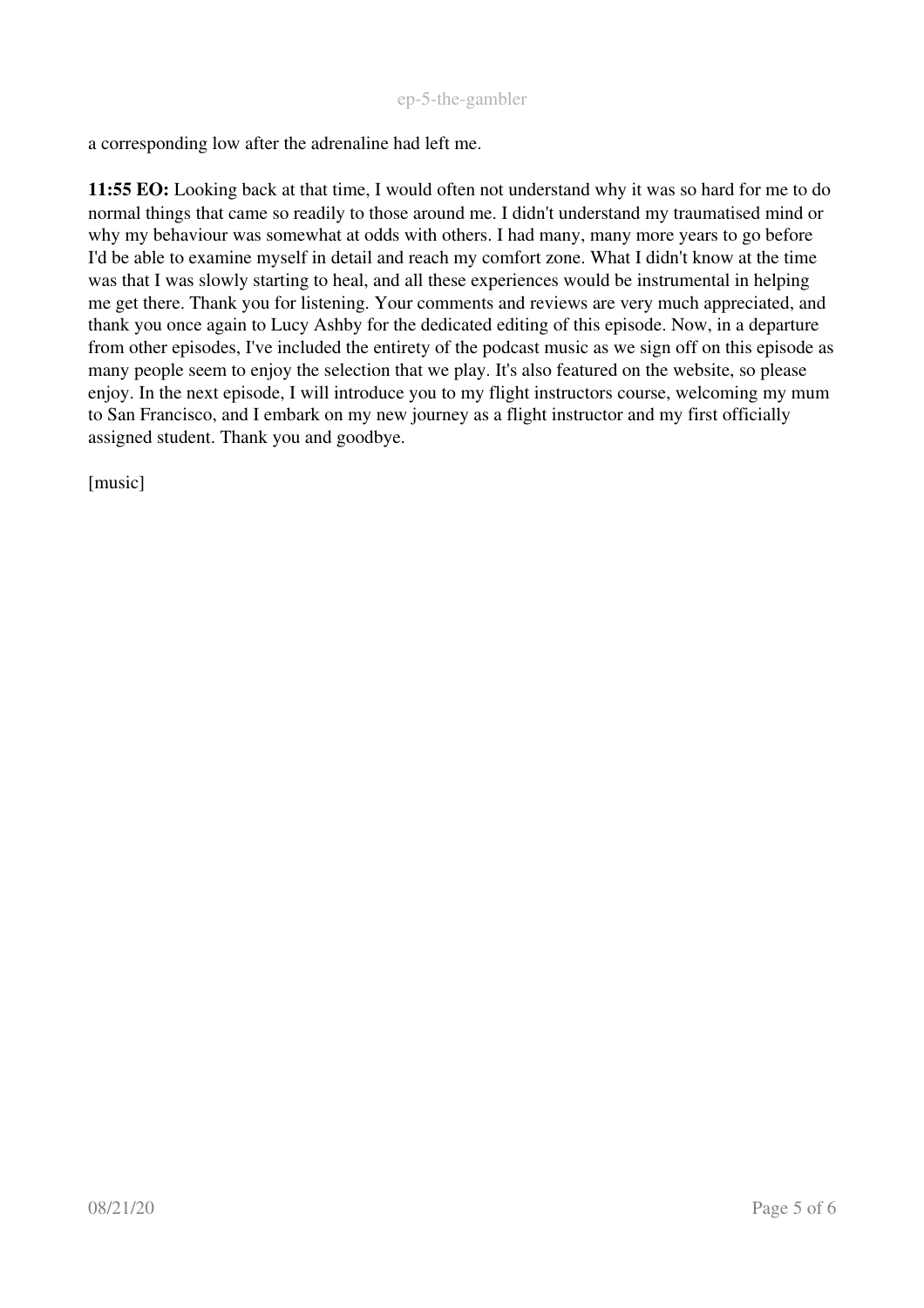a corresponding low after the adrenaline had left me.

11:55 EO: Looking back at that time, I would often not understand why it was so hard for me to do normal things that came so readily to those around me. I didn't understand my traumatised mind or why my behaviour was somewhat at odds with others. I had many, many more years to go before I'd be able to examine myself in detail and reach my comfort zone. What I didn't know at the time was that I was slowly starting to heal, and all these experiences would be instrumental in helping me get there. Thank you for listening. Your comments and reviews are very much appreciated, and thank you once again to Lucy Ashby for the dedicated editing of this episode. Now, in a departure from other episodes, I've included the entirety of the podcast music as we sign off on this episode as many people seem to enjoy the selection that we play. It's also featured on the website, so please enjoy. In the next episode, I will introduce you to my flight instructors course, welcoming my mum to San Francisco, and I embark on my new journey as a flight instructor and my first officially assigned student. Thank you and goodbye.

[music]